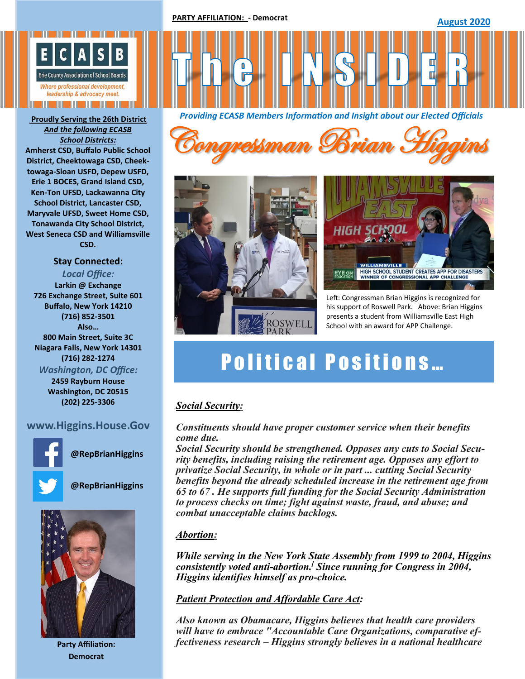

*And the following ECASB School Districts:*  **Amherst CSD, Buffalo Public School District, Cheektowaga CSD, Cheektowaga-Sloan USFD, Depew USFD, Erie 1 BOCES, Grand Island CSD, Ken-Ton UFSD, Lackawanna City School District, Lancaster CSD, Maryvale UFSD, Sweet Home CSD, Tonawanda City School District, West Seneca CSD and Williamsville CSD.**

# **Stay Connected:**

*Local Office:* **Larkin @ Exchange 726 Exchange Street, Suite 601 Buffalo, New York 14210 (716) 852-3501 Also… 800 Main Street, Suite 3C Niagara Falls, New York 14301 (716) 282-1274** *Washington, DC Office:*

**2459 Rayburn House Washington, DC 20515 (202) 225-3306**

# **www.Higgins.House.Gov**



**@RepBrianHiggins**



**@RepBrianHiggins**



**Party Affiliation: Democrat**



*Providing ECASB Members Information and Insight about our Elected Officials* **Proudly Serving the 26th District**







Left: Congressman Brian Higgins is recognized for his support of Roswell Park. Above: Brian Higgins presents a student from Williamsville East High School with an award for APP Challenge.

# **Political Positions...**

# *Social Security:*

# *Constituents should have proper customer service when their benefits come due.*

*Social Security should be strengthened. Opposes any cuts to Social Security benefits, including raising the retirement age. Opposes any effort to privatize Social Security, in whole or in part ... cutting Social Security benefits beyond the already scheduled increase in the retirement age from 65 to 67 . He supports full funding for the Social Security Administration to process checks on time; fight against waste, fraud, and abuse; and combat unacceptable claims backlogs.*

# *Abortion:*

*While serving in the [New York State Assembly](https://en.wikipedia.org/wiki/New_York_State_Assembly) from 1999 to 2004, Higgins consistently voted anti-[abortion.](https://en.wikipedia.org/wiki/Anti-abortion) [\[](https://en.wikipedia.org/wiki/Brian_Higgins#cite_note-27) Since running for Congress in 2004, Higgins identifies himself as pro-[choice.](https://en.wikipedia.org/wiki/Pro-choice)*

# *[Patient Protection and Affordable Care Act:](https://en.wikipedia.org/wiki/Patient_Protection_and_Affordable_Care_Act)*

*Also known as Obamacare, Higgins believes that health care providers will have to embrace "Accountable Care Organizations, comparative effectiveness research – Higgins strongly believes in a national healthcare*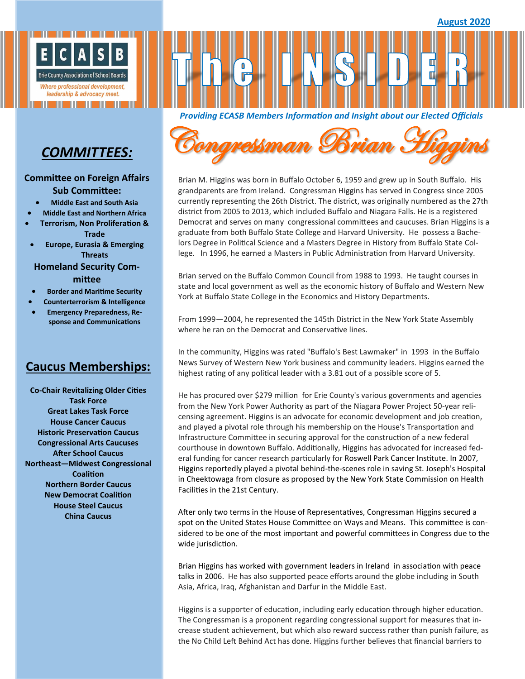

# *COMMITTEES:*

#### **Committee on Foreign Affairs Sub Committee:**

- **Middle East and South Asia**
- **Middle East and Northern Africa**
	- **Terrorism, Non Proliferation & Trade**
- **Europe, Eurasia & Emerging Threats**

### **Homeland Security Committee**

- **Border and Maritime Security**
- **Counterterrorism & Intelligence**
- **Emergency Preparedness, Response and Communications**

# **Caucus Memberships:**

**Co-Chair Revitalizing Older Cities Task Force Great Lakes Task Force House Cancer Caucus Historic Preservation Caucus Congressional Arts Caucuses After School Caucus Northeast—Midwest Congressional Coalition Northern Border Caucus New Democrat Coalition House Steel Caucus China Caucus**



*Providing ECASB Members Information and Insight about our Elected Officials* 

Brian M. Higgins was born in Buffalo October 6, 1959 and grew up in South Buffalo. His grandparents are from Ireland. Congressman Higgins has served in Congress since 2005 currently representing the 26th District. The district, was originally numbered as the 27th district from 2005 to 2013, which included Buffalo and Niagara Falls. He is a registered Democrat and serves on many congressional committees and caucuses. Brian Higgins is a graduate from both Buffalo State College and Harvard University. He possess a Bachelors Degree in Political Science and a Masters Degree in History from Buffalo State College. In 1996, he earned a Masters in Public Administration from Harvard University.

Brian served on the Buffalo Common Council from 1988 to 1993. He taught courses in state and local government as well as the economic history of Buffalo and Western New York at Buffalo State College in the Economics and History Departments.

From 1999—2004, he represented the 145th District in the New York State Assembly where he ran on the Democrat and Conservative lines.

In the community, Higgins was rated "Buffalo's Best Lawmaker" in 1993 in the Buffalo News Survey of Western New York business and community leaders. Higgins earned the highest rating of any political leader with a 3.81 out of a possible score of 5.

He has procured over \$279 million for [Erie County's](https://en.wikipedia.org/wiki/Erie_County,_New_York) various governments and agencies from the [New York Power Authority](https://en.wikipedia.org/wiki/New_York_Power_Authority) as part of the Niagara Power Project 50-year relicensing agreement. Higgins is an advocate for economic development and job creation, and played a pivotal role through his membership on the House's Transportation and Infrastructure Committee in securing approval for the construction of a new federal courthouse in downtown Buffalo. Additionally, Higgins has advocated for increased federal funding for cancer research particularly for [Roswell Park Cancer Institute.](https://en.wikipedia.org/wiki/Roswell_Park_Cancer_Institute) In 2007, Higgins reportedly played a pivotal behind-the-scenes role in saving St. Joseph's Hospital in [Cheektowaga](https://en.wikipedia.org/wiki/Cheektowaga) from closure as proposed by the New York State Commission on Health Facilities in the 21st Century.

After only two terms in the House of Representatives, Congressman Higgins secured a spot on the United States House Committee on Ways and Means. This committee is considered to be one of the most important and powerful committees in Congress due to the wide jurisdiction.

Brian Higgins has worked with government leaders in Ireland in association with peace talks in 2006. He has also supported peace efforts around the globe including in South Asia, Africa, Iraq, Afghanistan and Darfur in the Middle East.

Higgins is a supporter of education, including early education through higher education. The Congressman is a proponent regarding congressional support for measures that increase student achievement, but which also reward success rather than punish failure, as the No Child Left Behind Act has done. Higgins further believes that financial barriers to